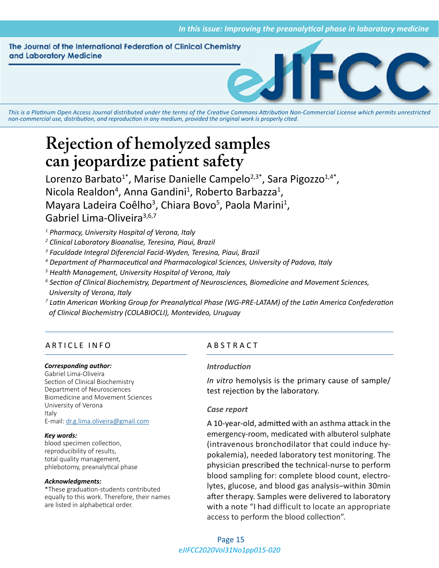The Journal of the International Federation of Clinical Chemistry and Laboratory Medicine



*This is a Platinum Open Access Journal distributed under the terms of the [Creative Commons Attribution Non-Commercial License](https://creativecommons.org/licenses/by-nc/4.0/) which permits unrestricted non-commercial use, distribution, and reproduction in any medium, provided the original work is properly cited.*

# **Rejection of hemolyzed samples can jeopardize patient safety**

Lorenzo Barbato<sup>1</sup>\*, Marise Danielle Campelo<sup>2,3\*</sup>, Sara Pigozzo<sup>1,4\*</sup>, Nicola Realdon<sup>4</sup>, Anna Gandini<sup>1</sup>, Roberto Barbazza<sup>1</sup>, Mayara Ladeira Coêlho<sup>3</sup>, Chiara Bovo<sup>5</sup>, Paola Marini<sup>1</sup>, Gabriel Lima-Oliveira<sup>3,6,7</sup>

*1 Pharmacy, University Hospital of Verona, Italy*

*2 Clinical Laboratory Bioanalise, Teresina, Piaui, Brazil*

*3 Faculdade Integral Diferencial Facid-Wyden, Teresina, Piaui, Brazil*

- *4 Department of Pharmaceutical and Pharmacological Sciences, University of Padova, Italy*
- *5 Health Management, University Hospital of Verona, Italy*
- *6 Section of Clinical Biochemistry, Department of Neurosciences, Biomedicine and Movement Sciences, University of Verona, Italy*
- *7 Latin American Working Group for Preanalytical Phase (WG-PRE-LATAM) of the Latin America Confederation of Clinical Biochemistry (COLABIOCLI), Montevideo, Uruguay*

# ARTICLE INFO ABSTRACT

#### *Corresponding author:*

Gabriel Lima-Oliveira Section of Clinical Biochemistry Department of Neurosciences Biomedicine and Movement Sciences University of Verona Italy E-mail: [dr.g.lima.oliveira@gmail.com](mailto:dr.g.lima.oliveira@gmail.com)

#### *Key words:*

blood specimen collection, reproducibility of results, total quality management, phlebotomy, preanalytical phase

#### *Acknowledgments:*

\*These graduation-students contributed equally to this work. Therefore, their names are listed in alphabetical order.

#### *Introduction*

*In vitro* hemolysis is the primary cause of sample/ test rejection by the laboratory.

## *Case report*

A 10-year-old, admitted with an asthma attack in the emergency-room, medicated with albuterol sulphate (intravenous bronchodilator that could induce hypokalemia), needed laboratory test monitoring. The physician prescribed the technical-nurse to perform blood sampling for: complete blood count, electrolytes, glucose, and blood gas analysis–within 30min after therapy. Samples were delivered to laboratory with a note "I had difficult to locate an appropriate access to perform the blood collection".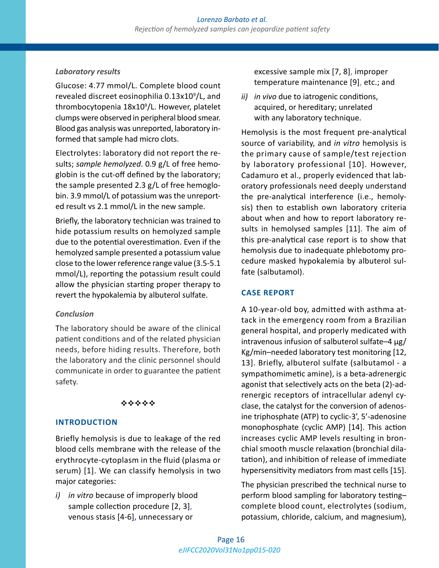# *Laboratory results*

Glucose: 4.77 mmol/L. Complete blood count revealed discreet eosinophilia 0.13x10<sup>9</sup>/L, and thrombocytopenia 18x10<sup>9</sup> /L. However, platelet clumps were observed in peripheral blood smear. Blood gas analysis was unreported, laboratory informed that sample had micro clots.

Electrolytes: laboratory did not report the results; *sample hemolyzed*. 0.9 g/L of free hemoglobin is the cut-off defined by the laboratory; the sample presented 2.3 g/L of free hemoglobin. 3.9 mmol/L of potassium was the unreported result vs 2.1 mmol/L in the new sample.

Briefly, the laboratory technician was trained to hide potassium results on hemolyzed sample due to the potential overestimation. Even if the hemolyzed sample presented a potassium value close to the lower reference range value (3.5-5.1 mmol/L), reporting the potassium result could allow the physician starting proper therapy to revert the hypokalemia by albuterol sulfate.

## *Conclusion*

The laboratory should be aware of the clinical patient conditions and of the related physician needs, before hiding results. Therefore, both the laboratory and the clinic personnel should communicate in order to guarantee the patient safety.

## \*\*\*\*\*

# **INTRODUCTION**

Briefly hemolysis is due to leakage of the red blood cells membrane with the release of the erythrocyte-cytoplasm in the fluid (plasma or serum) [1]. We can classify hemolysis in two major categories:

*i) in vitro* because of improperly blood sample collection procedure [2, 3], venous stasis [4-6], unnecessary or

excessive sample mix [7, 8], improper temperature maintenance [9], etc.; and

*ii) in vivo* due to iatrogenic conditions, acquired, or hereditary; unrelated with any laboratory technique.

Hemolysis is the most frequent pre-analytical source of variability, and *in vitro* hemolysis is the primary cause of sample/test rejection by laboratory professional [10]. However, Cadamuro et al., properly evidenced that laboratory professionals need deeply understand the pre-analytical interference (i.e., hemolysis) then to establish own laboratory criteria about when and how to report laboratory results in hemolysed samples [11]. The aim of this pre-analytical case report is to show that hemolysis due to inadequate phlebotomy procedure masked hypokalemia by albuterol sulfate (salbutamol).

# **CASE REPORT**

A 10-year-old boy, admitted with asthma attack in the emergency room from a Brazilian general hospital, and properly medicated with intravenous infusion of salbuterol sulfate–4 µg/ Kg/min–needed laboratory test monitoring [12, 13]. Briefly, albuterol sulfate (salbutamol - a sympathomimetic amine), is a beta-adrenergic agonist that selectively acts on the beta (2)-adrenergic receptors of intracellular adenyl cyclase, the catalyst for the conversion of adenosine triphosphate (ATP) to cyclic-3', 5'-adenosine monophosphate (cyclic AMP) [14]. This action increases cyclic AMP levels resulting in bronchial smooth muscle relaxation (bronchial dilatation), and inhibition of release of immediate hypersensitivity mediators from mast cells [15].

The physician prescribed the technical nurse to perform blood sampling for laboratory testing– complete blood count, electrolytes (sodium, potassium, chloride, calcium, and magnesium),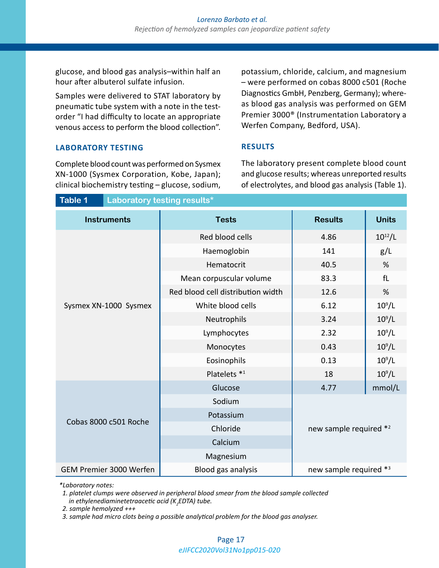glucose, and blood gas analysis–within half an hour after albuterol sulfate infusion.

Samples were delivered to STAT laboratory by pneumatic tube system with a note in the testorder "I had difficulty to locate an appropriate venous access to perform the blood collection".

potassium, chloride, calcium, and magnesium – were performed on cobas 8000 c501 (Roche Diagnostics GmbH, Penzberg, Germany); whereas blood gas analysis was performed on GEM Premier 3000® (Instrumentation Laboratory a Werfen Company, Bedford, USA).

#### **RESULTS**

Complete blood count was performed on Sysmex XN-1000 (Sysmex Corporation, Kobe, Japan); clinical biochemistry testing – glucose, sodium,

**LABORATORY TESTING**

The laboratory present complete blood count and glucose results; whereas unreported results of electrolytes, and blood gas analysis (Table 1).

| Table 1<br>Laboratory testing results* |                                   |                        |              |
|----------------------------------------|-----------------------------------|------------------------|--------------|
| <b>Instruments</b>                     | <b>Tests</b>                      | <b>Results</b>         | <b>Units</b> |
| Sysmex XN-1000 Sysmex                  | Red blood cells                   | 4.86                   | $10^{12}/L$  |
|                                        | Haemoglobin                       | 141                    | g/L          |
|                                        | Hematocrit                        | 40.5                   | %            |
|                                        | Mean corpuscular volume           | 83.3                   | fL           |
|                                        | Red blood cell distribution width | 12.6                   | %            |
|                                        | White blood cells                 | 6.12                   | $10^9$ /L    |
|                                        | Neutrophils                       | 3.24                   | $10^9$ /L    |
|                                        | Lymphocytes                       | 2.32                   | $10^9$ /L    |
|                                        | Monocytes                         | 0.43                   | $10^9$ /L    |
|                                        | Eosinophils                       | 0.13                   | $10^9/L$     |
|                                        | Platelets *1                      | 18                     | $10^9/L$     |
| Cobas 8000 c501 Roche                  | Glucose                           | 4.77                   | mmol/L       |
|                                        | Sodium                            | new sample required *2 |              |
|                                        | Potassium                         |                        |              |
|                                        | Chloride                          |                        |              |
|                                        | Calcium                           |                        |              |
|                                        | Magnesium                         |                        |              |
| GEM Premier 3000 Werfen                | Blood gas analysis                | new sample required *3 |              |

*\*Laboratory notes:*

 *1. platelet clumps were observed in peripheral blood smear from the blood sample collected in ethylenediaminetetraacetic acid (K<sup>2</sup> EDTA) tube.*

 *2. sample hemolyzed +++* 

 *3. sample had micro clots being a possible analytical problem for the blood gas analyser.*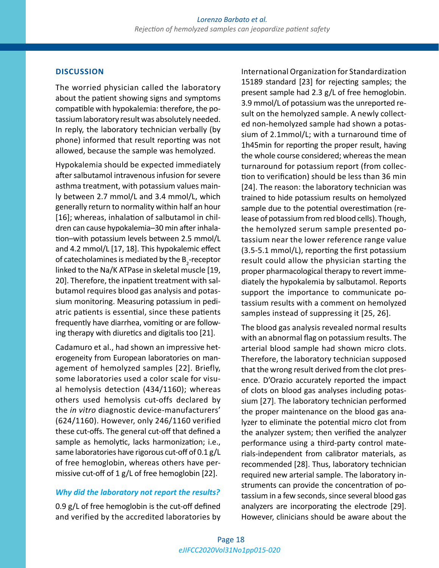#### **DISCUSSION**

The worried physician called the laboratory about the patient showing signs and symptoms compatible with hypokalemia: therefore, the potassium laboratory result was absolutely needed. In reply, the laboratory technician verbally (by phone) informed that result reporting was not allowed, because the sample was hemolyzed.

Hypokalemia should be expected immediately after salbutamol intravenous infusion for severe asthma treatment, with potassium values mainly between 2.7 mmol/L and 3.4 mmol/L, which generally return to normality within half an hour [16]; whereas, inhalation of salbutamol in children can cause hypokalemia–30 min after inhalation–with potassium levels between 2.5 mmol/L and 4.2 mmol/L [17, 18]. This hypokalemic effect of catecholamines is mediated by the  $\mathsf{B}_\mathsf{2}$ -receptor linked to the Na/K ATPase in skeletal muscle [19, 20]. Therefore, the inpatient treatment with salbutamol requires blood gas analysis and potassium monitoring. Measuring potassium in pediatric patients is essential, since these patients frequently have diarrhea, vomiting or are following therapy with diuretics and digitalis too [21].

Cadamuro et al., had shown an impressive heterogeneity from European laboratories on management of hemolyzed samples [22]. Briefly, some laboratories used a color scale for visual hemolysis detection (434/1160); whereas others used hemolysis cut-offs declared by the *in vitro* diagnostic device-manufacturers' (624/1160). However, only 246/1160 verified these cut-offs. The general cut-off that defined a sample as hemolytic, lacks harmonization; i.e., same laboratories have rigorous cut-off of 0.1 g/L of free hemoglobin, whereas others have permissive cut-off of 1 g/L of free hemoglobin [22].

#### *Why did the laboratory not report the results?*

0.9 g/L of free hemoglobin is the cut-off defined and verified by the accredited laboratories by International Organization for Standardization 15189 standard [23] for rejecting samples; the present sample had 2.3 g/L of free hemoglobin. 3.9 mmol/L of potassium was the unreported result on the hemolyzed sample. A newly collected non-hemolyzed sample had shown a potassium of 2.1mmol/L; with a turnaround time of 1h45min for reporting the proper result, having the whole course considered; whereas the mean turnaround for potassium report (from collection to verification) should be less than 36 min [24]. The reason: the laboratory technician was trained to hide potassium results on hemolyzed sample due to the potential overestimation (release of potassium from red blood cells). Though, the hemolyzed serum sample presented potassium near the lower reference range value (3.5-5.1 mmol/L), reporting the first potassium result could allow the physician starting the proper pharmacological therapy to revert immediately the hypokalemia by salbutamol. Reports support the importance to communicate potassium results with a comment on hemolyzed samples instead of suppressing it [25, 26].

The blood gas analysis revealed normal results with an abnormal flag on potassium results. The arterial blood sample had shown micro clots. Therefore, the laboratory technician supposed that the wrong result derived from the clot presence. D'Orazio accurately reported the impact of clots on blood gas analyses including potassium [27]. The laboratory technician performed the proper maintenance on the blood gas analyzer to eliminate the potential micro clot from the analyzer system; then verified the analyzer performance using a third-party control materials-independent from calibrator materials, as recommended [28]. Thus, laboratory technician required new arterial sample. The laboratory instruments can provide the concentration of potassium in a few seconds, since several blood gas analyzers are incorporating the electrode [29]. However, clinicians should be aware about the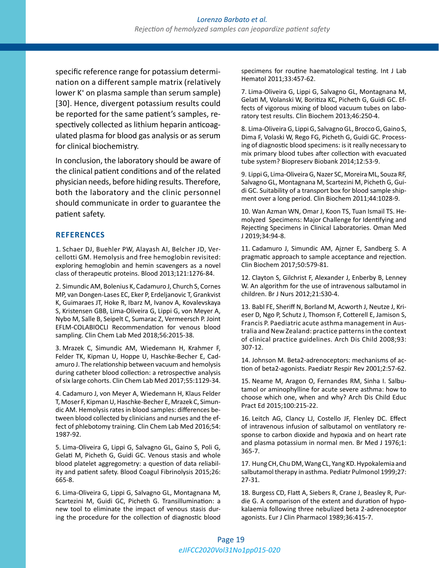specific reference range for potassium determination on a different sample matrix (relatively lower K<sup>+</sup> on plasma sample than serum sample) [30]. Hence, divergent potassium results could be reported for the same patient's samples, respectively collected as lithium heparin anticoagulated plasma for blood gas analysis or as serum for clinical biochemistry.

In conclusion, the laboratory should be aware of the clinical patient conditions and of the related physician needs, before hiding results. Therefore, both the laboratory and the clinic personnel should communicate in order to guarantee the patient safety.

#### **REFERENCES**

1. Schaer DJ, Buehler PW, Alayash AI, Belcher JD, Vercellotti GM. Hemolysis and free hemoglobin revisited: exploring hemoglobin and hemin scavengers as a novel class of therapeutic proteins. Blood 2013;121:1276-84.

2. Simundic AM, Bolenius K, Cadamuro J, Church S, Cornes MP, van Dongen-Lases EC, Eker P, Erdeljanovic T, Grankvist K, Guimaraes JT, Hoke R, Ibarz M, Ivanov A, Kovalevskaya S, Kristensen GBB, Lima-Oliveira G, Lippi G, von Meyer A, Nybo M, Salle B, Seipelt C, Sumarac Z, Vermeersch P. Joint EFLM-COLABIOCLI Recommendation for venous blood sampling. Clin Chem Lab Med 2018;56:2015-38.

3. Mrazek C, Simundic AM, Wiedemann H, Krahmer F, Felder TK, Kipman U, Hoppe U, Haschke-Becher E, Cadamuro J. The relationship between vacuum and hemolysis during catheter blood collection: a retrospective analysis of six large cohorts. Clin Chem Lab Med 2017;55:1129-34.

4. Cadamuro J, von Meyer A, Wiedemann H, Klaus Felder T, Moser F, Kipman U, Haschke-Becher E, Mrazek C, Simundic AM. Hemolysis rates in blood samples: differences between blood collected by clinicians and nurses and the effect of phlebotomy training. Clin Chem Lab Med 2016;54: 1987-92.

5. Lima-Oliveira G, Lippi G, Salvagno GL, Gaino S, Poli G, Gelati M, Picheth G, Guidi GC. Venous stasis and whole blood platelet aggregometry: a question of data reliability and patient safety. Blood Coagul Fibrinolysis 2015;26: 665-8.

6. Lima-Oliveira G, Lippi G, Salvagno GL, Montagnana M, Scartezini M, Guidi GC, Picheth G. Transillumination: a new tool to eliminate the impact of venous stasis during the procedure for the collection of diagnostic blood specimens for routine haematological testing. Int J Lab Hematol 2011;33:457-62.

7. Lima-Oliveira G, Lippi G, Salvagno GL, Montagnana M, Gelati M, Volanski W, Boritiza KC, Picheth G, Guidi GC. Effects of vigorous mixing of blood vacuum tubes on laboratory test results. Clin Biochem 2013;46:250-4.

8. Lima-Oliveira G, Lippi G, Salvagno GL, Brocco G, Gaino S, Dima F, Volaski W, Rego FG, Picheth G, Guidi GC. Processing of diagnostic blood specimens: is it really necessary to mix primary blood tubes after collection with evacuated tube system? Biopreserv Biobank 2014;12:53-9.

9. Lippi G, Lima-Oliveira G, Nazer SC, Moreira ML, Souza RF, Salvagno GL, Montagnana M, Scartezini M, Picheth G, Guidi GC. Suitability of a transport box for blood sample shipment over a long period. Clin Biochem 2011;44:1028-9.

10. Wan Azman WN, Omar J, Koon TS, Tuan Ismail TS. Hemolyzed Specimens: Major Challenge for Identifying and Rejecting Specimens in Clinical Laboratories. Oman Med J 2019;34:94-8.

11. Cadamuro J, Simundic AM, Ajzner E, Sandberg S. A pragmatic approach to sample acceptance and rejection. Clin Biochem 2017;50:579-81.

12. Clayton S, Gilchrist F, Alexander J, Enberby B, Lenney W. An algorithm for the use of intravenous salbutamol in children. Br J Nurs 2012;21:S30-4.

13. Babl FE, Sheriff N, Borland M, Acworth J, Neutze J, Krieser D, Ngo P, Schutz J, Thomson F, Cotterell E, Jamison S, Francis P. Paediatric acute asthma management in Australia and New Zealand: practice patterns in the context of clinical practice guidelines. Arch Dis Child 2008;93: 307-12.

14. Johnson M. Beta2-adrenoceptors: mechanisms of action of beta2-agonists. Paediatr Respir Rev 2001;2:57-62.

15. Neame M, Aragon O, Fernandes RM, Sinha I. Salbutamol or aminophylline for acute severe asthma: how to choose which one, when and why? Arch Dis Child Educ Pract Ed 2015;100:215-22.

16. Leitch AG, Clancy LJ, Costello JF, Flenley DC. Effect of intravenous infusion of salbutamol on ventilatory response to carbon dioxide and hypoxia and on heart rate and plasma potassium in normal men. Br Med J 1976;1: 365-7.

17. Hung CH, Chu DM, Wang CL, Yang KD. Hypokalemia and salbutamol therapy in asthma. Pediatr Pulmonol 1999;27: 27-31.

18. Burgess CD, Flatt A, Siebers R, Crane J, Beasley R, Purdie G. A comparison of the extent and duration of hypokalaemia following three nebulized beta 2-adrenoceptor agonists. Eur J Clin Pharmacol 1989;36:415-7.